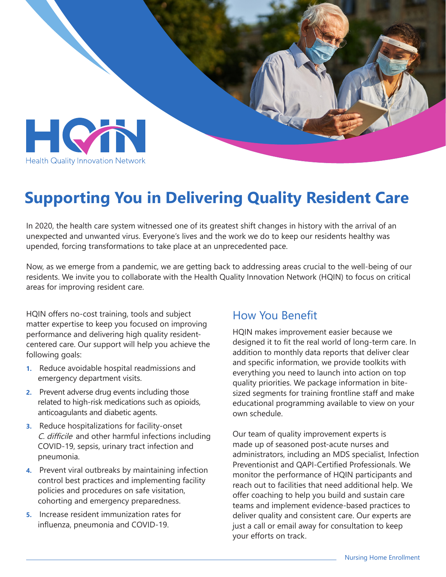

## **Supporting You in Delivering Quality Resident Care**

In 2020, the health care system witnessed one of its greatest shift changes in history with the arrival of an unexpected and unwanted virus. Everyone's lives and the work we do to keep our residents healthy was upended, forcing transformations to take place at an unprecedented pace.

Now, as we emerge from a pandemic, we are getting back to addressing areas crucial to the well-being of our residents. We invite you to collaborate with the Health Quality Innovation Network (HQIN) to focus on critical areas for improving resident care.

HQIN offers no-cost training, tools and subject matter expertise to keep you focused on improving performance and delivering high quality residentcentered care. Our support will help you achieve the following goals:

- **1.** Reduce avoidable hospital readmissions and emergency department visits.
- **2.** Prevent adverse drug events including those related to high-risk medications such as opioids, anticoagulants and diabetic agents.
- **3.** Reduce hospitalizations for facility-onset C. difficile and other harmful infections including COVID-19, sepsis, urinary tract infection and pneumonia.
- **4.** Prevent viral outbreaks by maintaining infection control best practices and implementing facility policies and procedures on safe visitation, cohorting and emergency preparedness.
- **5.** Increase resident immunization rates for influenza, pneumonia and COVID-19.

#### How You Benefit

HQIN makes improvement easier because we designed it to fit the real world of long-term care. In addition to monthly data reports that deliver clear and specific information, we provide toolkits with everything you need to launch into action on top quality priorities. We package information in bitesized segments for training frontline staff and make educational programming available to view on your own schedule.

Our team of quality improvement experts is made up of seasoned post-acute nurses and administrators, including an MDS specialist, Infection Preventionist and QAPI-Certified Professionals. We monitor the performance of HQIN participants and reach out to facilities that need additional help. We offer coaching to help you build and sustain care teams and implement evidence-based practices to deliver quality and consistent care. Our experts are just a call or email away for consultation to keep your efforts on track.